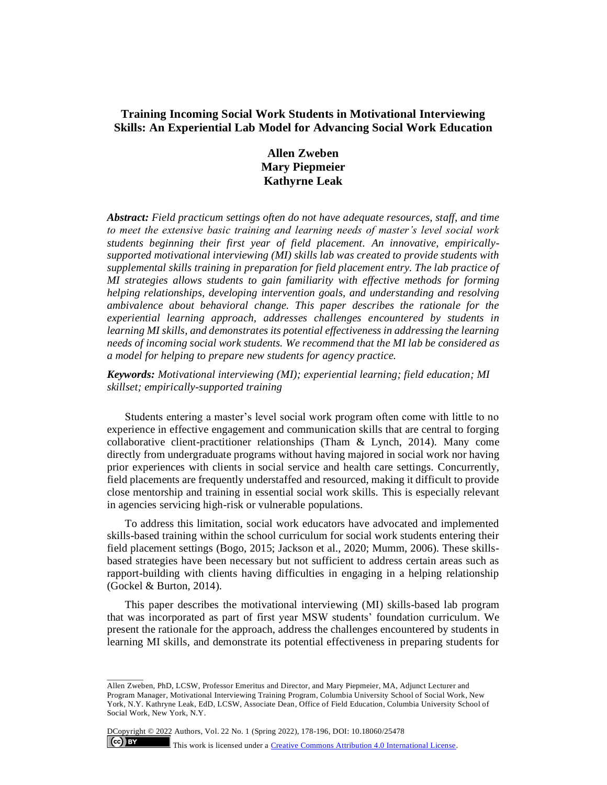# **Training Incoming Social Work Students in Motivational Interviewing Skills: An Experiential Lab Model for Advancing Social Work Education**

**Allen Zweben Mary Piepmeier Kathyrne Leak**

*Abstract: Field practicum settings often do not have adequate resources, staff, and time to meet the extensive basic training and learning needs of master's level social work students beginning their first year of field placement. An innovative, empiricallysupported motivational interviewing (MI) skills lab was created to provide students with supplemental skills training in preparation for field placement entry. The lab practice of MI strategies allows students to gain familiarity with effective methods for forming helping relationships, developing intervention goals, and understanding and resolving ambivalence about behavioral change. This paper describes the rationale for the experiential learning approach, addresses challenges encountered by students in learning MI skills, and demonstrates its potential effectiveness in addressing the learning needs of incoming social work students. We recommend that the MI lab be considered as a model for helping to prepare new students for agency practice.*

*Keywords: Motivational interviewing (MI); experiential learning; field education; MI skillset; empirically-supported training* 

Students entering a master's level social work program often come with little to no experience in effective engagement and communication skills that are central to forging collaborative client-practitioner relationships (Tham & Lynch, 2014). Many come directly from undergraduate programs without having majored in social work nor having prior experiences with clients in social service and health care settings. Concurrently, field placements are frequently understaffed and resourced, making it difficult to provide close mentorship and training in essential social work skills. This is especially relevant in agencies servicing high-risk or vulnerable populations.

To address this limitation, social work educators have advocated and implemented skills-based training within the school curriculum for social work students entering their field placement settings (Bogo, 2015; Jackson et al., 2020; Mumm, 2006). These skillsbased strategies have been necessary but not sufficient to address certain areas such as rapport-building with clients having difficulties in engaging in a helping relationship (Gockel & Burton, 2014).

This paper describes the motivational interviewing (MI) skills-based lab program that was incorporated as part of first year MSW students' foundation curriculum. We present the rationale for the approach, address the challenges encountered by students in learning MI skills, and demonstrate its potential effectiveness in preparing students for

DCopyright © 2022 Authors, Vol. 22 No. 1 (Spring 2022), 178-196, DOI: 10.18060/25478

 $\overline{\phantom{a}}$ 

 $(cc)$  BY

This work is licensed under a **Creative Commons Attribution 4.0 International License**.

Allen Zweben, PhD, LCSW, Professor Emeritus and Director, and Mary Piepmeier, MA, Adjunct Lecturer and Program Manager, Motivational Interviewing Training Program, Columbia University School of Social Work, New York, N.Y. Kathryne Leak, EdD, LCSW, Associate Dean, Office of Field Education, Columbia University School of Social Work, New York, N.Y.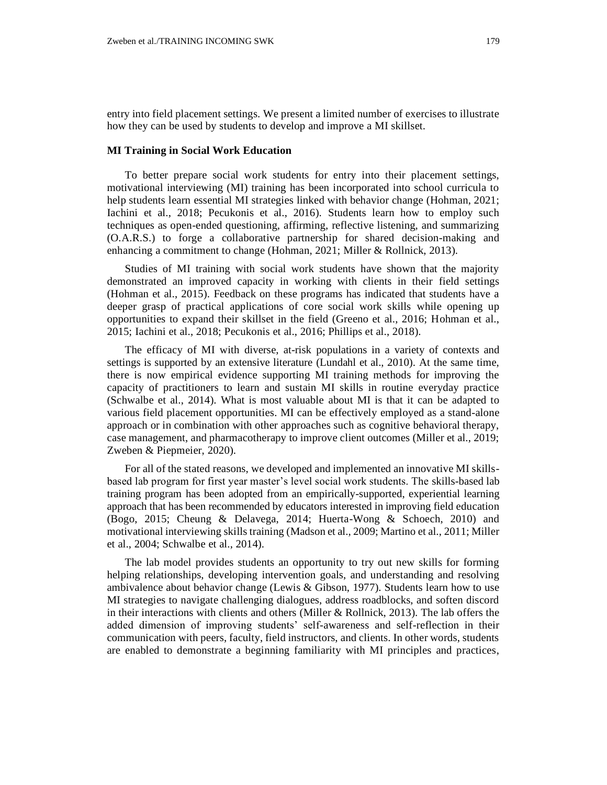entry into field placement settings. We present a limited number of exercises to illustrate how they can be used by students to develop and improve a MI skillset.

# **MI Training in Social Work Education**

To better prepare social work students for entry into their placement settings, motivational interviewing (MI) training has been incorporated into school curricula to help students learn essential MI strategies linked with behavior change (Hohman, 2021; Iachini et al., 2018; Pecukonis et al., 2016). Students learn how to employ such techniques as open-ended questioning, affirming, reflective listening, and summarizing (O.A.R.S.) to forge a collaborative partnership for shared decision-making and enhancing a commitment to change (Hohman, 2021; Miller & Rollnick, 2013).

Studies of MI training with social work students have shown that the majority demonstrated an improved capacity in working with clients in their field settings (Hohman et al., 2015). Feedback on these programs has indicated that students have a deeper grasp of practical applications of core social work skills while opening up opportunities to expand their skillset in the field (Greeno et al., 2016; Hohman et al., 2015; Iachini et al., 2018; Pecukonis et al., 2016; Phillips et al., 2018).

The efficacy of MI with diverse, at-risk populations in a variety of contexts and settings is supported by an extensive literature (Lundahl et al., 2010). At the same time, there is now empirical evidence supporting MI training methods for improving the capacity of practitioners to learn and sustain MI skills in routine everyday practice (Schwalbe et al., 2014). What is most valuable about MI is that it can be adapted to various field placement opportunities. MI can be effectively employed as a stand-alone approach or in combination with other approaches such as cognitive behavioral therapy, case management, and pharmacotherapy to improve client outcomes (Miller et al., 2019; Zweben & Piepmeier, 2020).

For all of the stated reasons, we developed and implemented an innovative MI skillsbased lab program for first year master's level social work students. The skills-based lab training program has been adopted from an empirically-supported, experiential learning approach that has been recommended by educators interested in improving field education (Bogo, 2015; Cheung & Delavega, 2014; Huerta-Wong & Schoech, 2010) and motivational interviewing skills training (Madson et al., 2009; Martino et al., 2011; Miller et al., 2004; Schwalbe et al., 2014).

The lab model provides students an opportunity to try out new skills for forming helping relationships, developing intervention goals, and understanding and resolving ambivalence about behavior change (Lewis & Gibson, 1977). Students learn how to use MI strategies to navigate challenging dialogues, address roadblocks, and soften discord in their interactions with clients and others (Miller  $&$  Rollnick, 2013). The lab offers the added dimension of improving students' self-awareness and self-reflection in their communication with peers, faculty, field instructors, and clients. In other words, students are enabled to demonstrate a beginning familiarity with MI principles and practices,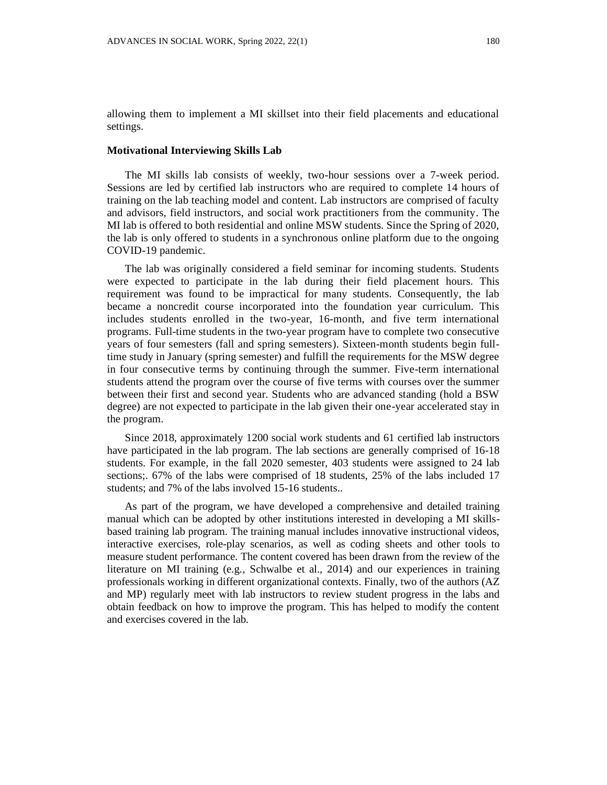allowing them to implement a MI skillset into their field placements and educational settings.

#### **Motivational Interviewing Skills Lab**

The MI skills lab consists of weekly, two-hour sessions over a 7-week period. Sessions are led by certified lab instructors who are required to complete 14 hours of training on the lab teaching model and content. Lab instructors are comprised of faculty and advisors, field instructors, and social work practitioners from the community. The MI lab is offered to both residential and online MSW students. Since the Spring of 2020, the lab is only offered to students in a synchronous online platform due to the ongoing COVID-19 pandemic.

The lab was originally considered a field seminar for incoming students. Students were expected to participate in the lab during their field placement hours. This requirement was found to be impractical for many students. Consequently, the lab became a noncredit course incorporated into the foundation year curriculum. This includes students enrolled in the two-year, 16-month, and five term international programs. Full-time students in the two-year program have to complete two consecutive years of four semesters (fall and spring semesters). Sixteen-month students begin fulltime study in January (spring semester) and fulfill the requirements for the MSW degree in four consecutive terms by continuing through the summer. Five-term international students attend the program over the course of five terms with courses over the summer between their first and second year. Students who are advanced standing (hold a BSW degree) are not expected to participate in the lab given their one-year accelerated stay in the program.

Since 2018, approximately 1200 social work students and 61 certified lab instructors have participated in the lab program. The lab sections are generally comprised of 16-18 students. For example, in the fall 2020 semester, 403 students were assigned to 24 lab sections;. 67% of the labs were comprised of 18 students, 25% of the labs included 17 students; and 7% of the labs involved 15-16 students..

As part of the program, we have developed a comprehensive and detailed training manual which can be adopted by other institutions interested in developing a MI skillsbased training lab program. The training manual includes innovative instructional videos, interactive exercises, role-play scenarios, as well as coding sheets and other tools to measure student performance. The content covered has been drawn from the review of the literature on MI training (e.g., Schwalbe et al., 2014) and our experiences in training professionals working in different organizational contexts. Finally, two of the authors (AZ and MP) regularly meet with lab instructors to review student progress in the labs and obtain feedback on how to improve the program. This has helped to modify the content and exercises covered in the lab.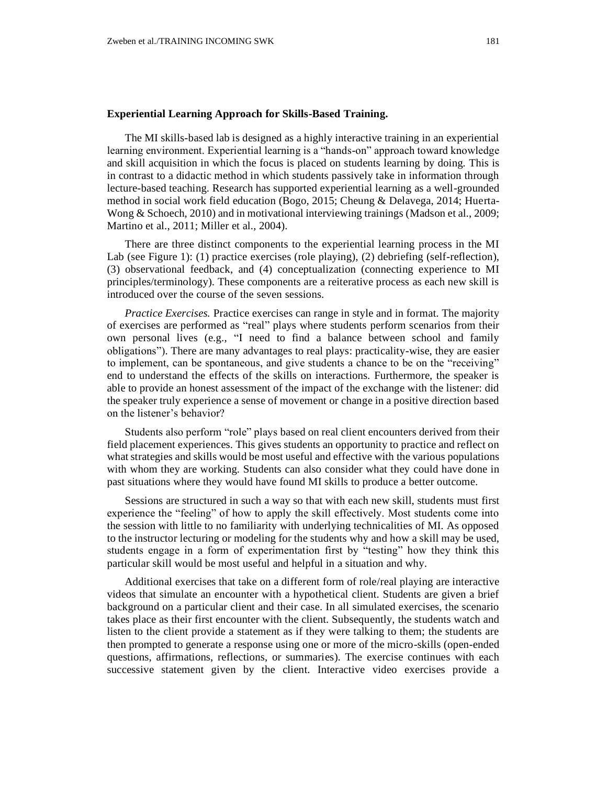### **Experiential Learning Approach for Skills-Based Training.**

The MI skills-based lab is designed as a highly interactive training in an experiential learning environment. Experiential learning is a "hands-on" approach toward knowledge and skill acquisition in which the focus is placed on students learning by doing*.* This is in contrast to a didactic method in which students passively take in information through lecture-based teaching. Research has supported experiential learning as a well-grounded method in social work field education (Bogo, 2015; Cheung & Delavega, 2014; Huerta-Wong & Schoech, 2010) and in motivational interviewing trainings (Madson et al., 2009; Martino et al., 2011; Miller et al., 2004).

There are three distinct components to the experiential learning process in the MI Lab (see Figure 1): (1) practice exercises (role playing), (2) debriefing (self-reflection), (3) observational feedback, and (4) conceptualization (connecting experience to MI principles/terminology). These components are a reiterative process as each new skill is introduced over the course of the seven sessions.

*Practice Exercises.* Practice exercises can range in style and in format. The majority of exercises are performed as "real" plays where students perform scenarios from their own personal lives (e.g., "I need to find a balance between school and family obligations"). There are many advantages to real plays: practicality-wise, they are easier to implement, can be spontaneous, and give students a chance to be on the "receiving" end to understand the effects of the skills on interactions. Furthermore, the speaker is able to provide an honest assessment of the impact of the exchange with the listener: did the speaker truly experience a sense of movement or change in a positive direction based on the listener's behavior?

Students also perform "role" plays based on real client encounters derived from their field placement experiences. This gives students an opportunity to practice and reflect on what strategies and skills would be most useful and effective with the various populations with whom they are working. Students can also consider what they could have done in past situations where they would have found MI skills to produce a better outcome.

Sessions are structured in such a way so that with each new skill, students must first experience the "feeling" of how to apply the skill effectively. Most students come into the session with little to no familiarity with underlying technicalities of MI. As opposed to the instructor lecturing or modeling for the students why and how a skill may be used, students engage in a form of experimentation first by "testing" how they think this particular skill would be most useful and helpful in a situation and why.

Additional exercises that take on a different form of role/real playing are interactive videos that simulate an encounter with a hypothetical client. Students are given a brief background on a particular client and their case. In all simulated exercises, the scenario takes place as their first encounter with the client. Subsequently, the students watch and listen to the client provide a statement as if they were talking to them; the students are then prompted to generate a response using one or more of the micro-skills (open-ended questions, affirmations, reflections, or summaries). The exercise continues with each successive statement given by the client. Interactive video exercises provide a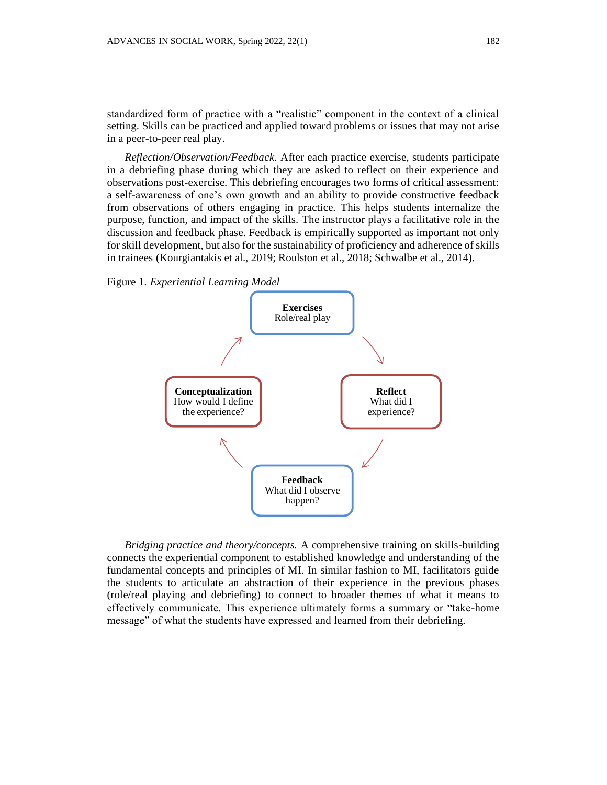standardized form of practice with a "realistic" component in the context of a clinical setting. Skills can be practiced and applied toward problems or issues that may not arise in a peer-to-peer real play.

*Reflection/Observation/Feedback*. After each practice exercise, students participate in a debriefing phase during which they are asked to reflect on their experience and observations post-exercise. This debriefing encourages two forms of critical assessment: a self-awareness of one's own growth and an ability to provide constructive feedback from observations of others engaging in practice. This helps students internalize the purpose, function, and impact of the skills. The instructor plays a facilitative role in the discussion and feedback phase. Feedback is empirically supported as important not only for skill development, but also for the sustainability of proficiency and adherence of skills in trainees (Kourgiantakis et al., 2019; Roulston et al., 2018; Schwalbe et al., 2014).

Figure 1. *Experiential Learning Model*



*Bridging practice and theory/concepts.* A comprehensive training on skills-building connects the experiential component to established knowledge and understanding of the fundamental concepts and principles of MI. In similar fashion to MI, facilitators guide the students to articulate an abstraction of their experience in the previous phases (role/real playing and debriefing) to connect to broader themes of what it means to effectively communicate. This experience ultimately forms a summary or "take-home message" of what the students have expressed and learned from their debriefing.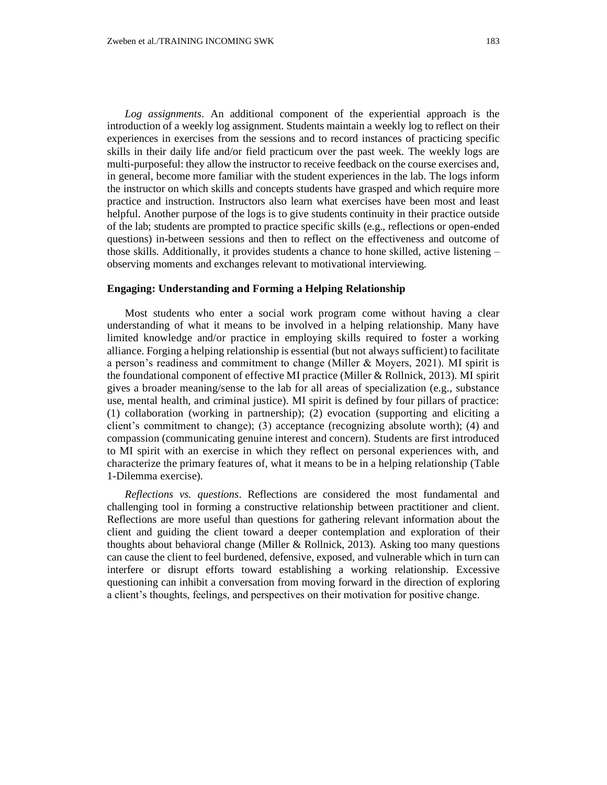*Log assignments*. An additional component of the experiential approach is the introduction of a weekly log assignment. Students maintain a weekly log to reflect on their experiences in exercises from the sessions and to record instances of practicing specific skills in their daily life and/or field practicum over the past week. The weekly logs are multi-purposeful: they allow the instructor to receive feedback on the course exercises and, in general, become more familiar with the student experiences in the lab. The logs inform the instructor on which skills and concepts students have grasped and which require more practice and instruction. Instructors also learn what exercises have been most and least helpful. Another purpose of the logs is to give students continuity in their practice outside of the lab; students are prompted to practice specific skills (e.g., reflections or open-ended questions) in-between sessions and then to reflect on the effectiveness and outcome of those skills. Additionally, it provides students a chance to hone skilled, active listening  $$ observing moments and exchanges relevant to motivational interviewing.

# **Engaging: Understanding and Forming a Helping Relationship**

Most students who enter a social work program come without having a clear understanding of what it means to be involved in a helping relationship. Many have limited knowledge and/or practice in employing skills required to foster a working alliance. Forging a helping relationship is essential (but not always sufficient) to facilitate a person's readiness and commitment to change (Miller & Moyers, 2021). MI spirit is the foundational component of effective MI practice (Miller & Rollnick, 2013). MI spirit gives a broader meaning/sense to the lab for all areas of specialization (e.g., substance use, mental health, and criminal justice). MI spirit is defined by four pillars of practice: (1) collaboration (working in partnership); (2) evocation (supporting and eliciting a client's commitment to change); (3) acceptance (recognizing absolute worth); (4) and compassion (communicating genuine interest and concern). Students are first introduced to MI spirit with an exercise in which they reflect on personal experiences with, and characterize the primary features of, what it means to be in a helping relationship (Table 1-Dilemma exercise).

*Reflections vs. questions*. Reflections are considered the most fundamental and challenging tool in forming a constructive relationship between practitioner and client. Reflections are more useful than questions for gathering relevant information about the client and guiding the client toward a deeper contemplation and exploration of their thoughts about behavioral change (Miller & Rollnick, 2013). Asking too many questions can cause the client to feel burdened, defensive, exposed, and vulnerable which in turn can interfere or disrupt efforts toward establishing a working relationship. Excessive questioning can inhibit a conversation from moving forward in the direction of exploring a client's thoughts, feelings, and perspectives on their motivation for positive change.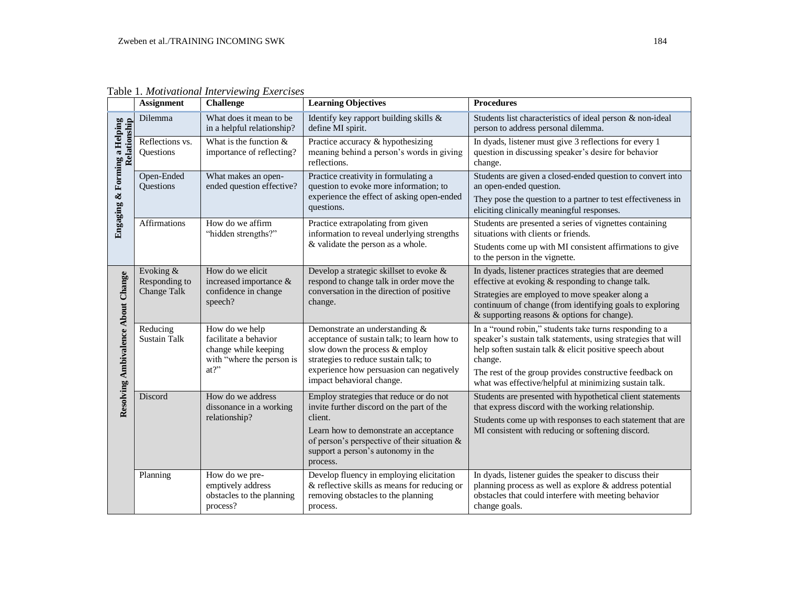|                                         | <b>Assignment</b>                                | <b>Challenge</b>                                                                                    | <b>Learning Objectives</b>                                                                                                                                                                                                                     | <b>Procedures</b>                                                                                                                                                                                                                                                                                                   |
|-----------------------------------------|--------------------------------------------------|-----------------------------------------------------------------------------------------------------|------------------------------------------------------------------------------------------------------------------------------------------------------------------------------------------------------------------------------------------------|---------------------------------------------------------------------------------------------------------------------------------------------------------------------------------------------------------------------------------------------------------------------------------------------------------------------|
| <b>Engaging &amp; Forming a Helping</b> | Dilemma                                          | What does it mean to be<br>in a helpful relationship?                                               | Identify key rapport building skills &<br>define MI spirit.                                                                                                                                                                                    | Students list characteristics of ideal person & non-ideal<br>person to address personal dilemma.                                                                                                                                                                                                                    |
|                                         | Reflections vs.<br>Questions                     | What is the function $&$<br>importance of reflecting?                                               | Practice accuracy & hypothesizing<br>meaning behind a person's words in giving<br>reflections.                                                                                                                                                 | In dyads, listener must give 3 reflections for every 1<br>question in discussing speaker's desire for behavior<br>change.                                                                                                                                                                                           |
|                                         | Open-Ended<br>Questions                          | What makes an open-<br>ended question effective?                                                    | Practice creativity in formulating a<br>question to evoke more information; to<br>experience the effect of asking open-ended<br>questions.                                                                                                     | Students are given a closed-ended question to convert into<br>an open-ended question.<br>They pose the question to a partner to test effectiveness in<br>eliciting clinically meaningful responses.                                                                                                                 |
|                                         | Affirmations                                     | How do we affirm<br>"hidden strengths?"                                                             | Practice extrapolating from given<br>information to reveal underlying strengths<br>& validate the person as a whole.                                                                                                                           | Students are presented a series of vignettes containing<br>situations with clients or friends.<br>Students come up with MI consistent affirmations to give<br>to the person in the vignette.                                                                                                                        |
| Resolving Ambivalence About Change      | Evoking &<br>Responding to<br><b>Change Talk</b> | How do we elicit<br>increased importance &<br>confidence in change<br>speech?                       | Develop a strategic skillset to evoke &<br>respond to change talk in order move the<br>conversation in the direction of positive<br>change.                                                                                                    | In dyads, listener practices strategies that are deemed<br>effective at evoking & responding to change talk.<br>Strategies are employed to move speaker along a<br>continuum of change (from identifying goals to exploring<br>& supporting reasons & options for change).                                          |
|                                         | Reducing<br><b>Sustain Talk</b>                  | How do we help<br>facilitate a behavior<br>change while keeping<br>with "where the person is<br>at? | Demonstrate an understanding &<br>acceptance of sustain talk; to learn how to<br>slow down the process & employ<br>strategies to reduce sustain talk; to<br>experience how persuasion can negatively<br>impact behavioral change.              | In a "round robin," students take turns responding to a<br>speaker's sustain talk statements, using strategies that will<br>help soften sustain talk & elicit positive speech about<br>change.<br>The rest of the group provides constructive feedback on<br>what was effective/helpful at minimizing sustain talk. |
|                                         | Discord                                          | How do we address<br>dissonance in a working<br>relationship?                                       | Employ strategies that reduce or do not<br>invite further discord on the part of the<br>client.<br>Learn how to demonstrate an acceptance<br>of person's perspective of their situation $\&$<br>support a person's autonomy in the<br>process. | Students are presented with hypothetical client statements<br>that express discord with the working relationship.<br>Students come up with responses to each statement that are<br>MI consistent with reducing or softening discord.                                                                                |
|                                         | Planning                                         | How do we pre-<br>emptively address<br>obstacles to the planning<br>process?                        | Develop fluency in employing elicitation<br>& reflective skills as means for reducing or<br>removing obstacles to the planning<br>process.                                                                                                     | In dyads, listener guides the speaker to discuss their<br>planning process as well as explore & address potential<br>obstacles that could interfere with meeting behavior<br>change goals.                                                                                                                          |

Table 1. *Motivational Interviewing Exercises*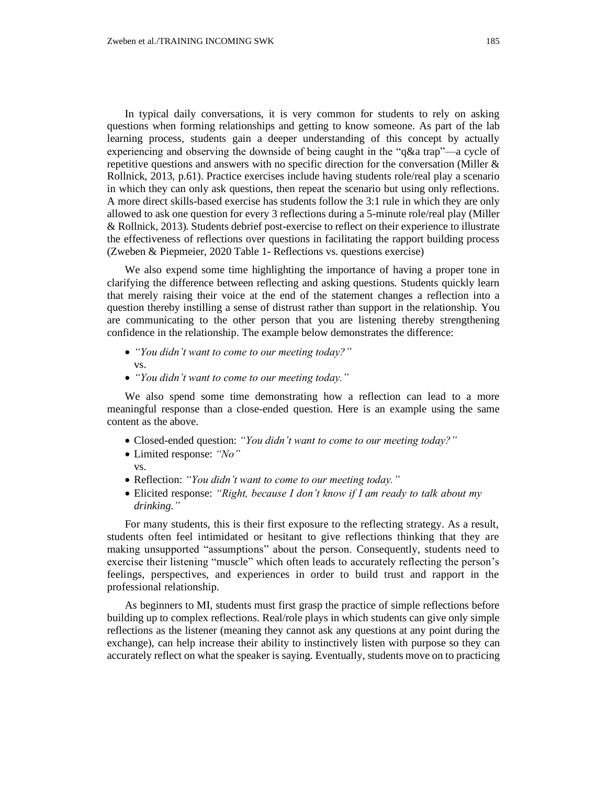In typical daily conversations, it is very common for students to rely on asking questions when forming relationships and getting to know someone. As part of the lab learning process, students gain a deeper understanding of this concept by actually experiencing and observing the downside of being caught in the "q&a trap"—a cycle of repetitive questions and answers with no specific direction for the conversation (Miller & Rollnick, 2013, p.61). Practice exercises include having students role/real play a scenario in which they can only ask questions, then repeat the scenario but using only reflections. A more direct skills-based exercise has students follow the 3:1 rule in which they are only allowed to ask one question for every 3 reflections during a 5-minute role/real play (Miller & Rollnick, 2013). Students debrief post-exercise to reflect on their experience to illustrate the effectiveness of reflections over questions in facilitating the rapport building process (Zweben & Piepmeier, 2020 Table 1- Reflections vs. questions exercise)

We also expend some time highlighting the importance of having a proper tone in clarifying the difference between reflecting and asking questions. Students quickly learn that merely raising their voice at the end of the statement changes a reflection into a question thereby instilling a sense of distrust rather than support in the relationship. You are communicating to the other person that you are listening thereby strengthening confidence in the relationship. The example below demonstrates the difference:

- *"You didn't want to come to our meeting today?"* vs.
- *"You didn't want to come to our meeting today."*

We also spend some time demonstrating how a reflection can lead to a more meaningful response than a close-ended question. Here is an example using the same content as the above.

- Closed-ended question: *"You didn't want to come to our meeting today?"*
- Limited response: *"No"*
- vs.
- Reflection: *"You didn't want to come to our meeting today."*
- Elicited response: *"Right, because I don't know if I am ready to talk about my drinking."*

For many students, this is their first exposure to the reflecting strategy. As a result, students often feel intimidated or hesitant to give reflections thinking that they are making unsupported "assumptions" about the person. Consequently, students need to exercise their listening "muscle" which often leads to accurately reflecting the person's feelings, perspectives, and experiences in order to build trust and rapport in the professional relationship.

As beginners to MI, students must first grasp the practice of simple reflections before building up to complex reflections. Real/role plays in which students can give only simple reflections as the listener (meaning they cannot ask any questions at any point during the exchange), can help increase their ability to instinctively listen with purpose so they can accurately reflect on what the speaker is saying. Eventually, students move on to practicing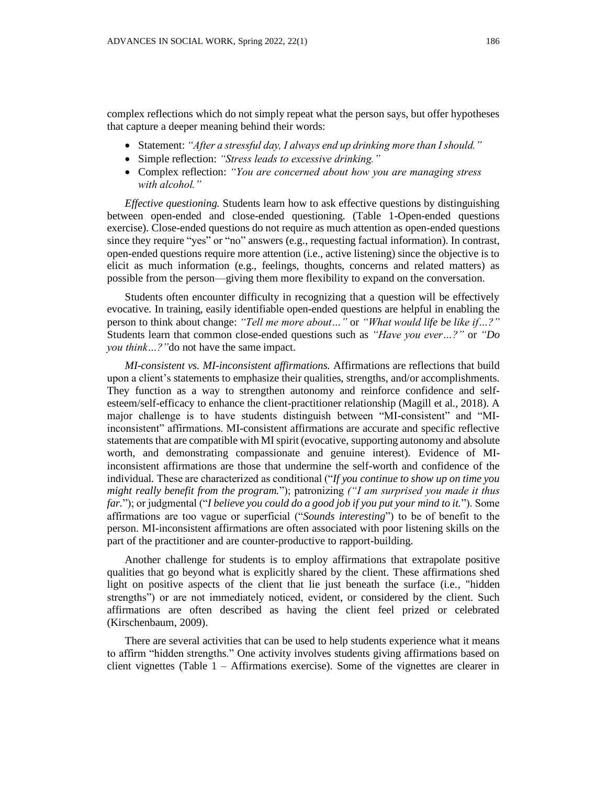complex reflections which do not simply repeat what the person says, but offer hypotheses that capture a deeper meaning behind their words:

- Statement: *"After a stressful day, I always end up drinking more than I should."*
- Simple reflection: *"Stress leads to excessive drinking."*
- Complex reflection: *"You are concerned about how you are managing stress with alcohol."*

*Effective questioning.* Students learn how to ask effective questions by distinguishing between open-ended and close-ended questioning. (Table 1-Open-ended questions exercise). Close-ended questions do not require as much attention as open-ended questions since they require "yes" or "no" answers (e.g., requesting factual information). In contrast, open-ended questions require more attention (i.e., active listening) since the objective is to elicit as much information (e.g., feelings, thoughts, concerns and related matters) as possible from the person—giving them more flexibility to expand on the conversation.

Students often encounter difficulty in recognizing that a question will be effectively evocative. In training, easily identifiable open-ended questions are helpful in enabling the person to think about change: *"Tell me more about…"* or *"What would life be like if…?"* Students learn that common close-ended questions such as *"Have you ever…?"* or *"Do you think…?"*do not have the same impact.

*MI-consistent vs. MI-inconsistent affirmations.* Affirmations are reflections that build upon a client's statements to emphasize their qualities, strengths, and/or accomplishments. They function as a way to strengthen autonomy and reinforce confidence and selfesteem/self-efficacy to enhance the client-practitioner relationship (Magill et al., 2018). A major challenge is to have students distinguish between "MI-consistent" and "MIinconsistent" affirmations. MI-consistent affirmations are accurate and specific reflective statements that are compatible with MI spirit (evocative, supporting autonomy and absolute worth, and demonstrating compassionate and genuine interest). Evidence of MIinconsistent affirmations are those that undermine the self-worth and confidence of the individual. These are characterized as conditional ("*If you continue to show up on time you might really benefit from the program.*"); patronizing *("I am surprised you made it thus far.*"); or judgmental ("*I believe you could do a good job if you put your mind to it.*"). Some affirmations are too vague or superficial ("*Sounds interesting*") to be of benefit to the person. MI-inconsistent affirmations are often associated with poor listening skills on the part of the practitioner and are counter-productive to rapport-building.

Another challenge for students is to employ affirmations that extrapolate positive qualities that go beyond what is explicitly shared by the client. These affirmations shed light on positive aspects of the client that lie just beneath the surface (i.e., "hidden strengths") or are not immediately noticed, evident, or considered by the client. Such affirmations are often described as having the client feel prized or celebrated (Kirschenbaum, 2009).

There are several activities that can be used to help students experience what it means to affirm "hidden strengths." One activity involves students giving affirmations based on client vignettes (Table  $1 -$  Affirmations exercise). Some of the vignettes are clearer in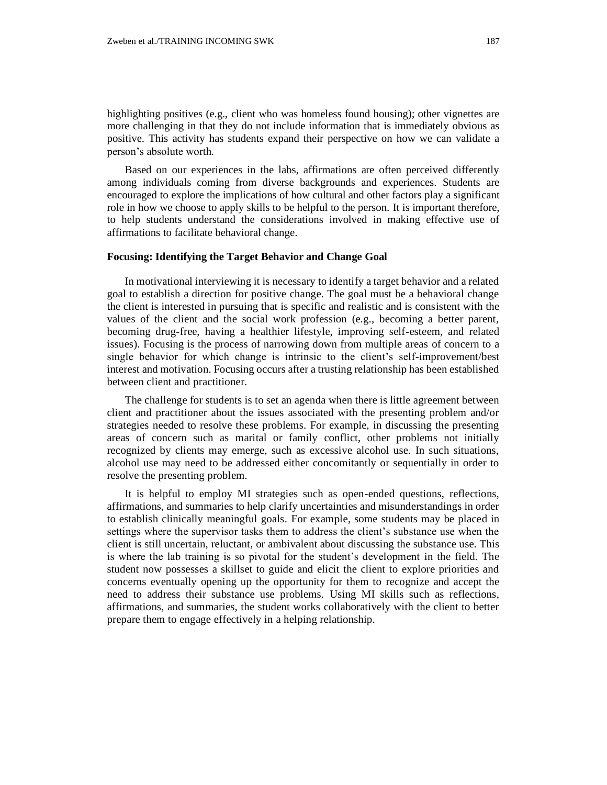highlighting positives (e.g., client who was homeless found housing); other vignettes are more challenging in that they do not include information that is immediately obvious as positive. This activity has students expand their perspective on how we can validate a person's absolute worth.

Based on our experiences in the labs, affirmations are often perceived differently among individuals coming from diverse backgrounds and experiences. Students are encouraged to explore the implications of how cultural and other factors play a significant role in how we choose to apply skills to be helpful to the person. It is important therefore, to help students understand the considerations involved in making effective use of affirmations to facilitate behavioral change.

# **Focusing: Identifying the Target Behavior and Change Goal**

In motivational interviewing it is necessary to identify a target behavior and a related goal to establish a direction for positive change. The goal must be a behavioral change the client is interested in pursuing that is specific and realistic and is consistent with the values of the client and the social work profession (e.g., becoming a better parent, becoming drug-free, having a healthier lifestyle, improving self-esteem, and related issues). Focusing is the process of narrowing down from multiple areas of concern to a single behavior for which change is intrinsic to the client's self-improvement/best interest and motivation. Focusing occurs after a trusting relationship has been established between client and practitioner.

The challenge for students is to set an agenda when there is little agreement between client and practitioner about the issues associated with the presenting problem and/or strategies needed to resolve these problems. For example, in discussing the presenting areas of concern such as marital or family conflict, other problems not initially recognized by clients may emerge, such as excessive alcohol use. In such situations, alcohol use may need to be addressed either concomitantly or sequentially in order to resolve the presenting problem.

It is helpful to employ MI strategies such as open-ended questions, reflections, affirmations, and summaries to help clarify uncertainties and misunderstandings in order to establish clinically meaningful goals. For example, some students may be placed in settings where the supervisor tasks them to address the client's substance use when the client is still uncertain, reluctant, or ambivalent about discussing the substance use. This is where the lab training is so pivotal for the student's development in the field. The student now possesses a skillset to guide and elicit the client to explore priorities and concerns eventually opening up the opportunity for them to recognize and accept the need to address their substance use problems. Using MI skills such as reflections, affirmations, and summaries, the student works collaboratively with the client to better prepare them to engage effectively in a helping relationship.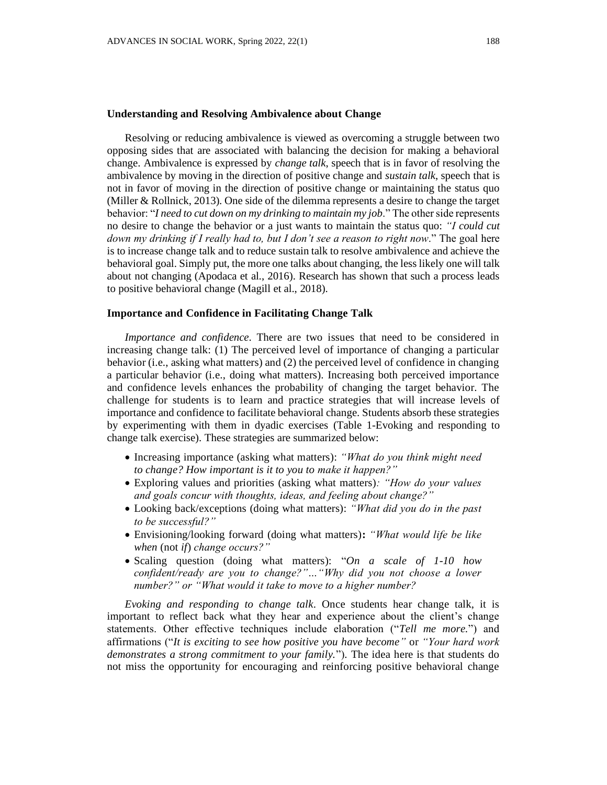#### **Understanding and Resolving Ambivalence about Change**

Resolving or reducing ambivalence is viewed as overcoming a struggle between two opposing sides that are associated with balancing the decision for making a behavioral change. Ambivalence is expressed by *change talk*, speech that is in favor of resolving the ambivalence by moving in the direction of positive change and *sustain talk*, speech that is not in favor of moving in the direction of positive change or maintaining the status quo (Miller & Rollnick, 2013). One side of the dilemma represents a desire to change the target behavior: "*I need to cut down on my drinking to maintain my job*." The other side represents no desire to change the behavior or a just wants to maintain the status quo: *"I could cut down my drinking if I really had to, but I don't see a reason to right now*." The goal here is to increase change talk and to reduce sustain talk to resolve ambivalence and achieve the behavioral goal. Simply put, the more one talks about changing, the less likely one will talk about not changing (Apodaca et al., 2016). Research has shown that such a process leads to positive behavioral change (Magill et al., 2018).

#### **Importance and Confidence in Facilitating Change Talk**

*Importance and confidence*. There are two issues that need to be considered in increasing change talk: (1) The perceived level of importance of changing a particular behavior (i.e., asking what matters) and (2) the perceived level of confidence in changing a particular behavior (i.e., doing what matters). Increasing both perceived importance and confidence levels enhances the probability of changing the target behavior. The challenge for students is to learn and practice strategies that will increase levels of importance and confidence to facilitate behavioral change. Students absorb these strategies by experimenting with them in dyadic exercises (Table 1-Evoking and responding to change talk exercise). These strategies are summarized below:

- Increasing importance (asking what matters): *"What do you think might need to change? How important is it to you to make it happen?"*
- Exploring values and priorities (asking what matters)*: "How do your values and goals concur with thoughts, ideas, and feeling about change?"*
- Looking back/exceptions (doing what matters): *"What did you do in the past to be successful?"*
- Envisioning/looking forward (doing what matters)**:** *"What would life be like when* (not *if*) *change occurs?"*
- Scaling question (doing what matters): "*On a scale of 1-10 how confident/ready are you to change?"…"Why did you not choose a lower number?" or "What would it take to move to a higher number?*

*Evoking and responding to change talk*. Once students hear change talk, it is important to reflect back what they hear and experience about the client's change statements. Other effective techniques include elaboration ("*Tell me more.*") and affirmations ("*It is exciting to see how positive you have become"* or *"Your hard work demonstrates a strong commitment to your family.*"). The idea here is that students do not miss the opportunity for encouraging and reinforcing positive behavioral change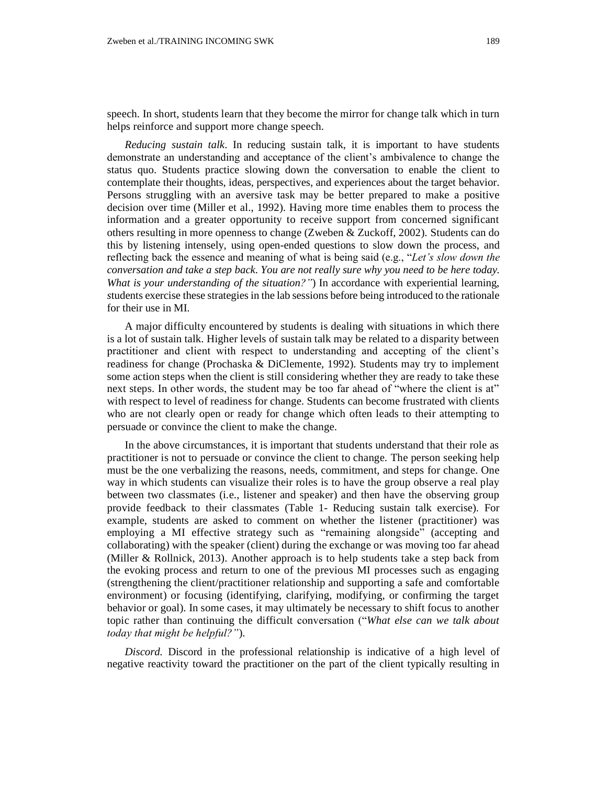speech. In short, students learn that they become the mirror for change talk which in turn helps reinforce and support more change speech.

*Reducing sustain talk*. In reducing sustain talk, it is important to have students demonstrate an understanding and acceptance of the client's ambivalence to change the status quo. Students practice slowing down the conversation to enable the client to contemplate their thoughts, ideas, perspectives, and experiences about the target behavior. Persons struggling with an aversive task may be better prepared to make a positive decision over time (Miller et al., 1992). Having more time enables them to process the information and a greater opportunity to receive support from concerned significant others resulting in more openness to change (Zweben & Zuckoff, 2002). Students can do this by listening intensely, using open-ended questions to slow down the process, and reflecting back the essence and meaning of what is being said (e.g., "*Let's slow down the conversation and take a step back*. *You are not really sure why you need to be here today. What is your understanding of the situation?"*) In accordance with experiential learning, *s*tudents exercise these strategies in the lab sessions before being introduced to the rationale for their use in MI.

A major difficulty encountered by students is dealing with situations in which there is a lot of sustain talk. Higher levels of sustain talk may be related to a disparity between practitioner and client with respect to understanding and accepting of the client's readiness for change (Prochaska & DiClemente, 1992). Students may try to implement some action steps when the client is still considering whether they are ready to take these next steps. In other words, the student may be too far ahead of "where the client is at" with respect to level of readiness for change. Students can become frustrated with clients who are not clearly open or ready for change which often leads to their attempting to persuade or convince the client to make the change.

In the above circumstances, it is important that students understand that their role as practitioner is not to persuade or convince the client to change. The person seeking help must be the one verbalizing the reasons, needs, commitment, and steps for change. One way in which students can visualize their roles is to have the group observe a real play between two classmates (i.e., listener and speaker) and then have the observing group provide feedback to their classmates (Table 1- Reducing sustain talk exercise). For example, students are asked to comment on whether the listener (practitioner) was employing a MI effective strategy such as "remaining alongside" (accepting and collaborating) with the speaker (client) during the exchange or was moving too far ahead (Miller & Rollnick, 2013). Another approach is to help students take a step back from the evoking process and return to one of the previous MI processes such as engaging (strengthening the client/practitioner relationship and supporting a safe and comfortable environment) or focusing (identifying, clarifying, modifying, or confirming the target behavior or goal). In some cases, it may ultimately be necessary to shift focus to another topic rather than continuing the difficult conversation ("*What else can we talk about today that might be helpful?"*).

*Discord.* Discord in the professional relationship is indicative of a high level of negative reactivity toward the practitioner on the part of the client typically resulting in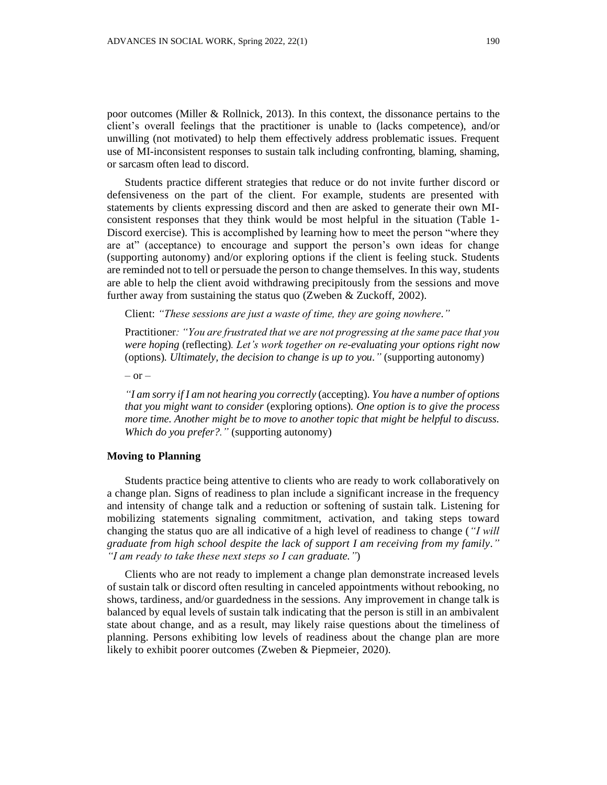poor outcomes (Miller & Rollnick, 2013). In this context, the dissonance pertains to the client's overall feelings that the practitioner is unable to (lacks competence), and/or unwilling (not motivated) to help them effectively address problematic issues. Frequent use of MI-inconsistent responses to sustain talk including confronting, blaming, shaming, or sarcasm often lead to discord.

Students practice different strategies that reduce or do not invite further discord or defensiveness on the part of the client. For example, students are presented with statements by clients expressing discord and then are asked to generate their own MIconsistent responses that they think would be most helpful in the situation (Table 1- Discord exercise). This is accomplished by learning how to meet the person "where they are at" (acceptance) to encourage and support the person's own ideas for change (supporting autonomy) and/or exploring options if the client is feeling stuck. Students are reminded not to tell or persuade the person to change themselves. In this way, students are able to help the client avoid withdrawing precipitously from the sessions and move further away from sustaining the status quo (Zweben & Zuckoff, 2002).

Client: *"These sessions are just a waste of time, they are going nowhere."*

Practitioner*: "You are frustrated that we are not progressing at the same pace that you were hoping* (reflecting)*. Let's work together on re-evaluating your options right now*  (options)*. Ultimately, the decision to change is up to you."* (supporting autonomy)

 $-$  or  $-$ 

*"I am sorry if I am not hearing you correctly* (accepting). *You have a number of options that you might want to consider* (exploring options)*. One option is to give the process more time. Another might be to move to another topic that might be helpful to discuss. Which do you prefer?."* (supporting autonomy)

# **Moving to Planning**

Students practice being attentive to clients who are ready to work collaboratively on a change plan. Signs of readiness to plan include a significant increase in the frequency and intensity of change talk and a reduction or softening of sustain talk. Listening for mobilizing statements signaling commitment, activation, and taking steps toward changing the status quo are all indicative of a high level of readiness to change (*"I will graduate from high school despite the lack of support I am receiving from my family." "I am ready to take these next steps so I can graduate."*)

Clients who are not ready to implement a change plan demonstrate increased levels of sustain talk or discord often resulting in canceled appointments without rebooking, no shows, tardiness, and/or guardedness in the sessions. Any improvement in change talk is balanced by equal levels of sustain talk indicating that the person is still in an ambivalent state about change, and as a result, may likely raise questions about the timeliness of planning. Persons exhibiting low levels of readiness about the change plan are more likely to exhibit poorer outcomes (Zweben & Piepmeier, 2020).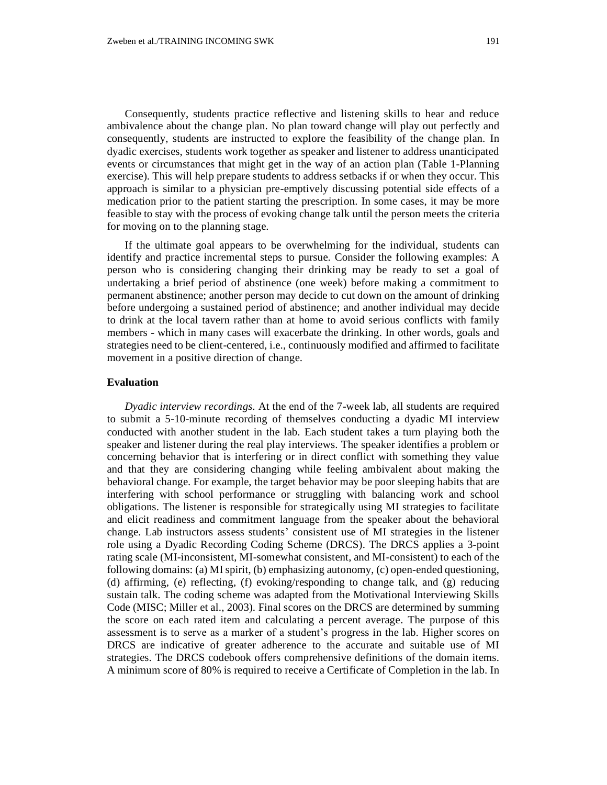Consequently, students practice reflective and listening skills to hear and reduce ambivalence about the change plan. No plan toward change will play out perfectly and consequently, students are instructed to explore the feasibility of the change plan. In dyadic exercises, students work together as speaker and listener to address unanticipated events or circumstances that might get in the way of an action plan (Table 1-Planning exercise). This will help prepare students to address setbacks if or when they occur. This approach is similar to a physician pre-emptively discussing potential side effects of a medication prior to the patient starting the prescription. In some cases, it may be more feasible to stay with the process of evoking change talk until the person meets the criteria for moving on to the planning stage.

If the ultimate goal appears to be overwhelming for the individual, students can identify and practice incremental steps to pursue. Consider the following examples: A person who is considering changing their drinking may be ready to set a goal of undertaking a brief period of abstinence (one week) before making a commitment to permanent abstinence; another person may decide to cut down on the amount of drinking before undergoing a sustained period of abstinence; and another individual may decide to drink at the local tavern rather than at home to avoid serious conflicts with family members - which in many cases will exacerbate the drinking. In other words, goals and strategies need to be client-centered, i.e., continuously modified and affirmed to facilitate movement in a positive direction of change.

# **Evaluation**

*Dyadic interview recordings*. At the end of the 7-week lab, all students are required to submit a 5-10-minute recording of themselves conducting a dyadic MI interview conducted with another student in the lab. Each student takes a turn playing both the speaker and listener during the real play interviews. The speaker identifies a problem or concerning behavior that is interfering or in direct conflict with something they value and that they are considering changing while feeling ambivalent about making the behavioral change. For example, the target behavior may be poor sleeping habits that are interfering with school performance or struggling with balancing work and school obligations. The listener is responsible for strategically using MI strategies to facilitate and elicit readiness and commitment language from the speaker about the behavioral change. Lab instructors assess students' consistent use of MI strategies in the listener role using a Dyadic Recording Coding Scheme (DRCS). The DRCS applies a 3-point rating scale (MI-inconsistent, MI-somewhat consistent, and MI-consistent) to each of the following domains: (a) MI spirit, (b) emphasizing autonomy, (c) open-ended questioning, (d) affirming, (e) reflecting, (f) evoking/responding to change talk, and (g) reducing sustain talk. The coding scheme was adapted from the Motivational Interviewing Skills Code (MISC; Miller et al., 2003). Final scores on the DRCS are determined by summing the score on each rated item and calculating a percent average. The purpose of this assessment is to serve as a marker of a student's progress in the lab. Higher scores on DRCS are indicative of greater adherence to the accurate and suitable use of MI strategies. The DRCS codebook offers comprehensive definitions of the domain items. A minimum score of 80% is required to receive a Certificate of Completion in the lab. In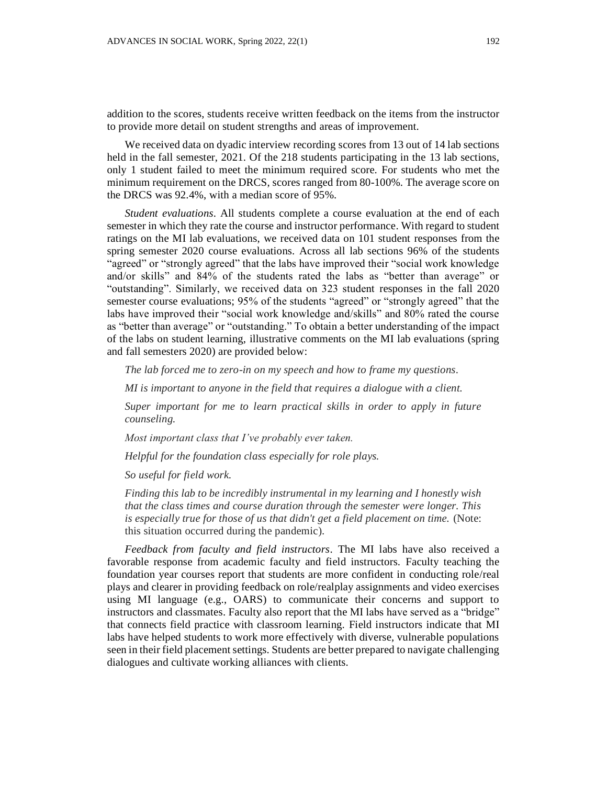addition to the scores, students receive written feedback on the items from the instructor to provide more detail on student strengths and areas of improvement.

We received data on dyadic interview recording scores from 13 out of 14 lab sections held in the fall semester, 2021. Of the 218 students participating in the 13 lab sections, only 1 student failed to meet the minimum required score. For students who met the minimum requirement on the DRCS, scores ranged from 80-100%. The average score on the DRCS was 92.4%, with a median score of 95%.

*Student evaluations*. All students complete a course evaluation at the end of each semester in which they rate the course and instructor performance. With regard to student ratings on the MI lab evaluations, we received data on 101 student responses from the spring semester 2020 course evaluations. Across all lab sections 96% of the students "agreed" or "strongly agreed" that the labs have improved their "social work knowledge and/or skills" and 84% of the students rated the labs as "better than average" or "outstanding". Similarly, we received data on 323 student responses in the fall 2020 semester course evaluations; 95% of the students "agreed" or "strongly agreed" that the labs have improved their "social work knowledge and/skills" and 80% rated the course as "better than average" or "outstanding." To obtain a better understanding of the impact of the labs on student learning, illustrative comments on the MI lab evaluations (spring and fall semesters 2020) are provided below:

*The lab forced me to zero-in on my speech and how to frame my questions.*

*MI is important to anyone in the field that requires a dialogue with a client.*

*Super important for me to learn practical skills in order to apply in future counseling.*

*Most important class that I've probably ever taken.* 

*Helpful for the foundation class especially for role plays.*

*So useful for field work.*

*Finding this lab to be incredibly instrumental in my learning and I honestly wish that the class times and course duration through the semester were longer. This is especially true for those of us that didn't get a field placement on time.* (Note: this situation occurred during the pandemic).

*Feedback from faculty and field instructors*. The MI labs have also received a favorable response from academic faculty and field instructors. Faculty teaching the foundation year courses report that students are more confident in conducting role/real plays and clearer in providing feedback on role/realplay assignments and video exercises using MI language (e.g., OARS) to communicate their concerns and support to instructors and classmates. Faculty also report that the MI labs have served as a "bridge" that connects field practice with classroom learning. Field instructors indicate that MI labs have helped students to work more effectively with diverse, vulnerable populations seen in their field placement settings. Students are better prepared to navigate challenging dialogues and cultivate working alliances with clients.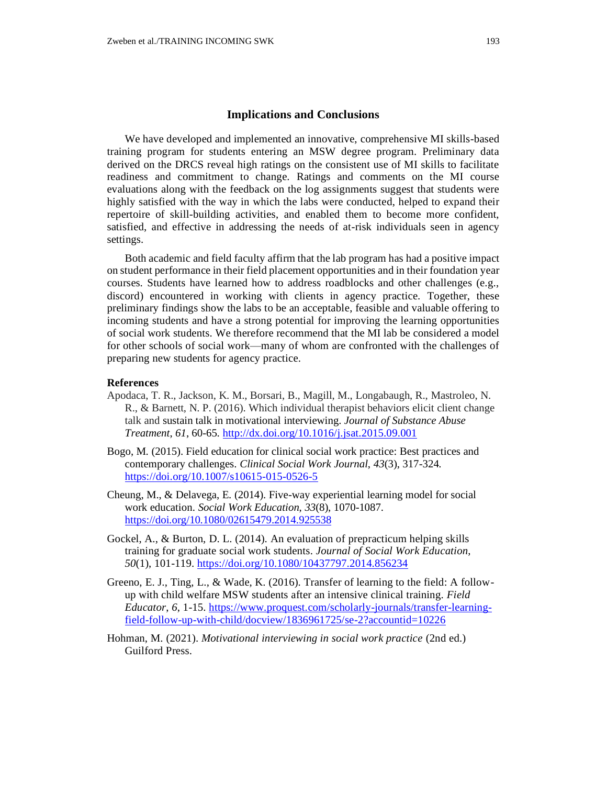#### **Implications and Conclusions**

We have developed and implemented an innovative, comprehensive MI skills-based training program for students entering an MSW degree program. Preliminary data derived on the DRCS reveal high ratings on the consistent use of MI skills to facilitate readiness and commitment to change. Ratings and comments on the MI course evaluations along with the feedback on the log assignments suggest that students were highly satisfied with the way in which the labs were conducted, helped to expand their repertoire of skill-building activities, and enabled them to become more confident, satisfied, and effective in addressing the needs of at-risk individuals seen in agency settings.

Both academic and field faculty affirm that the lab program has had a positive impact on student performance in their field placement opportunities and in their foundation year courses. Students have learned how to address roadblocks and other challenges (e.g., discord) encountered in working with clients in agency practice. Together, these preliminary findings show the labs to be an acceptable, feasible and valuable offering to incoming students and have a strong potential for improving the learning opportunities of social work students. We therefore recommend that the MI lab be considered a model for other schools of social work—many of whom are confronted with the challenges of preparing new students for agency practice.

### **References**

- Apodaca, T. R., Jackson, K. M., Borsari, B., Magill, M., Longabaugh, R., Mastroleo, N. R., & Barnett, N. P. (2016). Which individual therapist behaviors elicit client change talk and sustain talk in motivational interviewing. *Journal of Substance Abuse Treatment*, *61*, 60-65. <http://dx.doi.org/10.1016/j.jsat.2015.09.001>
- Bogo, M. (2015). Field education for clinical social work practice: Best practices and contemporary challenges. *Clinical Social Work Journal*, *43*(3), 317-324. <https://doi.org/10.1007/s10615-015-0526-5>
- Cheung, M., & Delavega, E. (2014). Five-way experiential learning model for social work education. *Social Work Education*, *33*(8), 1070-1087. <https://doi.org/10.1080/02615479.2014.925538>
- Gockel, A., & Burton, D. L. (2014). An evaluation of prepracticum helping skills training for graduate social work students. *Journal of Social Work Education*, *50*(1), 101-119.<https://doi.org/10.1080/10437797.2014.856234>
- Greeno, E. J., Ting, L., & Wade, K. (2016). Transfer of learning to the field: A followup with child welfare MSW students after an intensive clinical training. *Field Educator*, *6*, 1-15. [https://www.proquest.com/scholarly-journals/transfer-learning](https://www.proquest.com/scholarly-journals/transfer-learning-field-follow-up-with-child/docview/1836961725/se-2?accountid=10226)[field-follow-up-with-child/docview/1836961725/se-2?accountid=10226](https://www.proquest.com/scholarly-journals/transfer-learning-field-follow-up-with-child/docview/1836961725/se-2?accountid=10226)
- Hohman, M. (2021). *Motivational interviewing in social work practice* (2nd ed.) Guilford Press.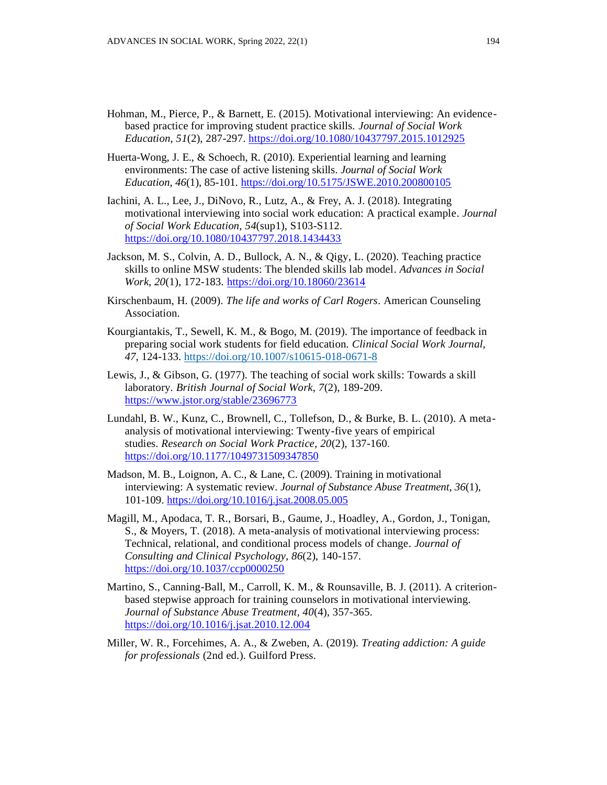- Hohman, M., Pierce, P., & Barnett, E. (2015). Motivational interviewing: An evidencebased practice for improving student practice skills. *Journal of Social Work Education*, *51*(2), 287-297.<https://doi.org/10.1080/10437797.2015.1012925>
- Huerta-Wong, J. E., & Schoech, R. (2010). Experiential learning and learning environments: The case of active listening skills. *Journal of Social Work Education*, *46*(1), 85-101. <https://doi.org/10.5175/JSWE.2010.200800105>
- Iachini, A. L., Lee, J., DiNovo, R., Lutz, A., & Frey, A. J. (2018). Integrating motivational interviewing into social work education: A practical example. *Journal of Social Work Education*, *54*(sup1), S103-S112. <https://doi.org/10.1080/10437797.2018.1434433>
- Jackson, M. S., Colvin, A. D., Bullock, A. N., & Qigy, L. (2020). Teaching practice skills to online MSW students: The blended skills lab model. *Advances in Social Work*, *20*(1), 172-183.<https://doi.org/10.18060/23614>
- Kirschenbaum, H. (2009). *The life and works of Carl Rogers*. American Counseling Association.
- Kourgiantakis, T., Sewell, K. M., & Bogo, M. (2019). The importance of feedback in preparing social work students for field education. *Clinical Social Work Journal, 47*, 124-133.<https://doi.org/10.1007/s10615-018-0671-8>
- Lewis, J., & Gibson, G. (1977). The teaching of social work skills: Towards a skill laboratory. *British Journal of Social Work*, *7*(2), 189-209. <https://www.jstor.org/stable/23696773>
- Lundahl, B. W., Kunz, C., Brownell, C., Tollefson, D., & Burke, B. L. (2010). A metaanalysis of motivational interviewing: Twenty-five years of empirical studies. *Research on Social Work Practice, 20*(2), 137-160. <https://doi.org/10.1177/1049731509347850>
- Madson, M. B., Loignon, A. C., & Lane, C. (2009). Training in motivational interviewing: A systematic review. *Journal of Substance Abuse Treatment*, *36*(1), 101-109. <https://doi.org/10.1016/j.jsat.2008.05.005>
- Magill, M., Apodaca, T. R., Borsari, B., Gaume, J., Hoadley, A., Gordon, J., Tonigan, S., & Moyers, T. (2018). A meta-analysis of motivational interviewing process: Technical, relational, and conditional process models of change. *Journal of Consulting and Clinical Psychology*, *86*(2), 140-157. <https://doi.org/10.1037/ccp0000250>
- Martino, S., Canning-Ball, M., Carroll, K. M., & Rounsaville, B. J. (2011). A criterionbased stepwise approach for training counselors in motivational interviewing. *Journal of Substance Abuse Treatment, 40*(4), 357-365. <https://doi.org/10.1016/j.jsat.2010.12.004>
- Miller, W. R., Forcehimes, A. A., & Zweben, A. (2019). *Treating addiction: A guide for professionals* (2nd ed.). Guilford Press.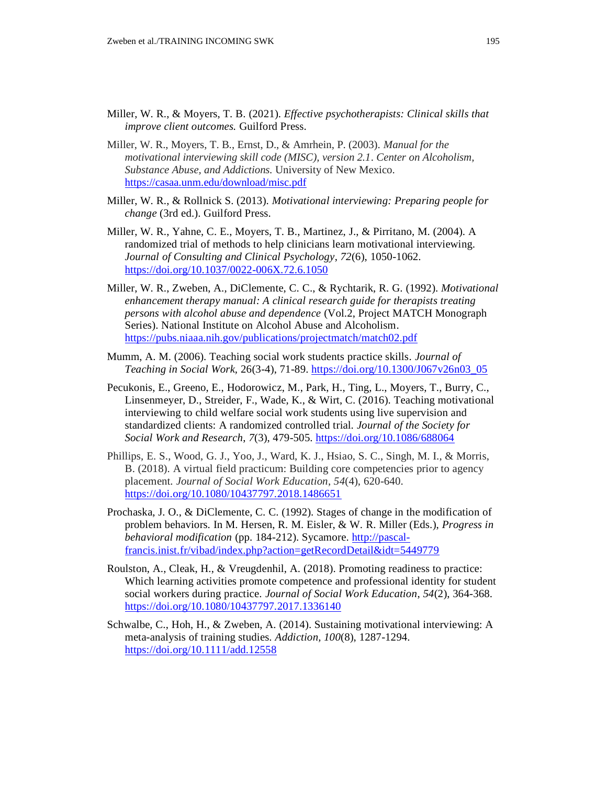- Miller, W. R., & Moyers, T. B. (2021). *Effective psychotherapists: Clinical skills that improve client outcomes.* Guilford Press.
- Miller, W. R., Moyers, T. B., Ernst, D., & Amrhein, P. (2003). *Manual for the motivational interviewing skill code (MISC), version 2.1*. *Center on Alcoholism, Substance Abuse, and Addictions.* University of New Mexico. <https://casaa.unm.edu/download/misc.pdf>
- Miller, W. R., & Rollnick S. (2013). *Motivational interviewing: Preparing people for change* (3rd ed.). Guilford Press.
- Miller, W. R., Yahne, C. E., Moyers, T. B., Martinez, J., & Pirritano, M. (2004). A randomized trial of methods to help clinicians learn motivational interviewing. *Journal of Consulting and Clinical Psychology*, *72*(6), 1050-1062. <https://doi.org/10.1037/0022-006X.72.6.1050>
- Miller, W. R., Zweben, A., DiClemente, C. C., & Rychtarik, R. G. (1992). *Motivational enhancement therapy manual: A clinical research guide for therapists treating persons with alcohol abuse and dependence* (Vol.2, Project MATCH Monograph Series). National Institute on Alcohol Abuse and Alcoholism. <https://pubs.niaaa.nih.gov/publications/projectmatch/match02.pdf>
- Mumm, A. M. (2006). Teaching social work students practice skills. *Journal of Teaching in Social Work,* 26(3-4), 71-89. [https://doi.org/10.1300/J067v26n03\\_05](https://doi.org/10.1300/J067v26n03_05)
- Pecukonis, E., Greeno, E., Hodorowicz, M., Park, H., Ting, L., Moyers, T., Burry, C., Linsenmeyer, D., Streider, F., Wade, K., & Wirt, C. (2016). Teaching motivational interviewing to child welfare social work students using live supervision and standardized clients: A randomized controlled trial. *Journal of the Society for Social Work and Research*, *7*(3), 479-505.<https://doi.org/10.1086/688064>
- Phillips, E. S., Wood, G. J., Yoo, J., Ward, K. J., Hsiao, S. C., Singh, M. I., & Morris, B. (2018). A virtual field practicum: Building core competencies prior to agency placement. *Journal of Social Work Education*, *54*(4), 620-640. <https://doi.org/10.1080/10437797.2018.1486651>
- Prochaska, J. O., & DiClemente, C. C. (1992). Stages of change in the modification of problem behaviors. In M. Hersen, R. M. Eisler, & W. R. Miller (Eds.), *Progress in behavioral modification* (pp. 184-212). Sycamore. [http://pascal](http://pascal-francis.inist.fr/vibad/index.php?action=getRecordDetail&idt=5449779)[francis.inist.fr/vibad/index.php?action=getRecordDetail&idt=5449779](http://pascal-francis.inist.fr/vibad/index.php?action=getRecordDetail&idt=5449779)
- Roulston, A., Cleak, H., & Vreugdenhil, A. (2018). Promoting readiness to practice: Which learning activities promote competence and professional identity for student social workers during practice. *Journal of Social Work Education*, *54*(2), 364-368. <https://doi.org/10.1080/10437797.2017.1336140>
- Schwalbe, C., Hoh, H., & Zweben, A. (2014). Sustaining motivational interviewing: A meta-analysis of training studies. *Addiction, 100*(8), 1287-1294. <https://doi.org/10.1111/add.12558>